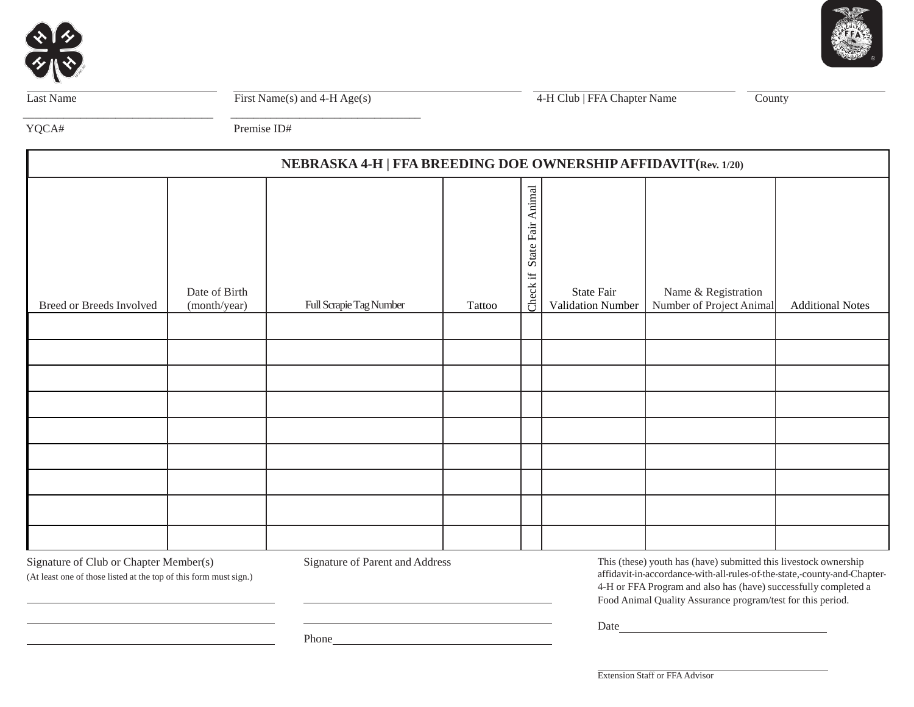



Last Name First Name(s) and 4-H Age(s) 4-H Club | FFA Chapter Name County

YQCA# Premise ID#

\_\_\_\_\_\_\_\_\_\_\_\_\_\_\_\_\_\_\_\_\_\_\_\_\_\_\_\_\_\_\_\_\_ \_\_\_\_\_\_\_\_\_\_\_\_\_\_\_\_\_\_\_\_\_\_\_\_\_\_\_\_\_\_\_\_\_

| NEBRASKA 4-H   FFA BREEDING DOE OWNERSHIP AFFIDAVIT (Rev. 1/20) |                               |                         |        |                                                          |                                 |                                                 |                         |
|-----------------------------------------------------------------|-------------------------------|-------------------------|--------|----------------------------------------------------------|---------------------------------|-------------------------------------------------|-------------------------|
| Breed or Breeds Involved                                        | Date of Birth<br>(month/year) | Full Scrapie Tag Number | Tattoo | State Fair Animal<br>$\ddot{\boldsymbol{\pi}}$<br>Check: | State Fair<br>Validation Number | Name & Registration<br>Number of Project Animal | <b>Additional Notes</b> |
|                                                                 |                               |                         |        |                                                          |                                 |                                                 |                         |
|                                                                 |                               |                         |        |                                                          |                                 |                                                 |                         |
|                                                                 |                               |                         |        |                                                          |                                 |                                                 |                         |
|                                                                 |                               |                         |        |                                                          |                                 |                                                 |                         |
|                                                                 |                               |                         |        |                                                          |                                 |                                                 |                         |
|                                                                 |                               |                         |        |                                                          |                                 |                                                 |                         |
|                                                                 |                               |                         |        |                                                          |                                 |                                                 |                         |
|                                                                 |                               |                         |        |                                                          |                                 |                                                 |                         |
|                                                                 |                               |                         |        |                                                          |                                 |                                                 |                         |

Signature of Club or Chapter Member(s) Signature of Parent and Address

(At least one of those listed at the top of this form must sign.)

This (these) youth has (have) submitted this livestock ownership affidavit-in-accordance-with-all-rules-of-the-state,-county-and-Chapter-4-H or FFA Program and also has (have) successfully completed a Food Animal Quality Assurance program/test for this period.

Date and the state of the state of the state of the state of the state of the state of the state of the state of the state of the state of the state of the state of the state of the state of the state of the state of the s

Phone